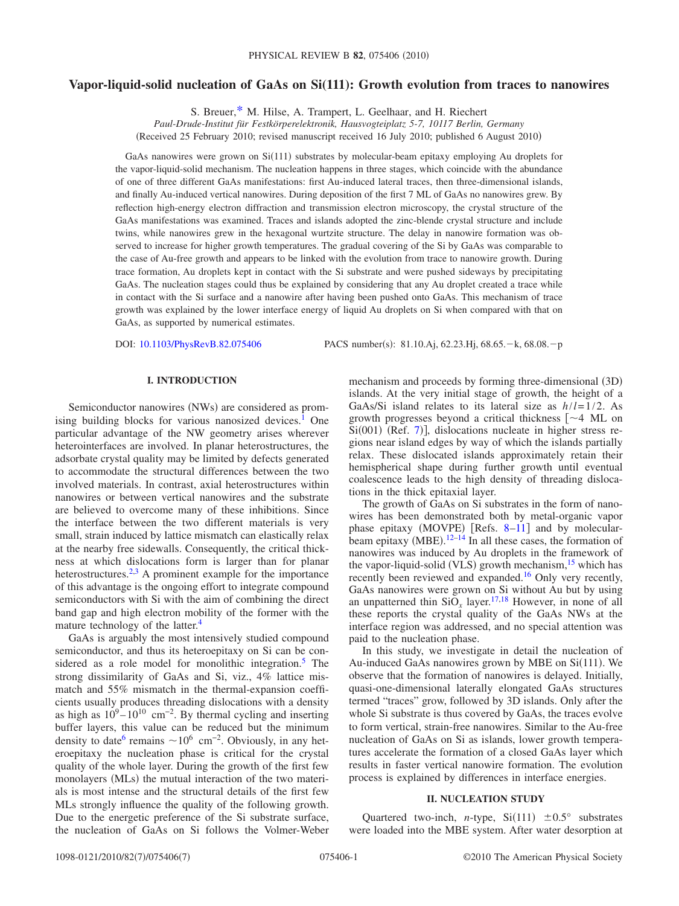# **Vapor-liquid-solid nucleation of GaAs on Si(111): Growth evolution from traces to nanowires**

S. Breuer[,\\*](#page-5-0) M. Hilse, A. Trampert, L. Geelhaar, and H. Riechert

*Paul-Drude-Institut für Festkörperelektronik, Hausvogteiplatz 5-7, 10117 Berlin, Germany* (Received 25 February 2010; revised manuscript received 16 July 2010; published 6 August 2010)

GaAs nanowires were grown on Si(111) substrates by molecular-beam epitaxy employing Au droplets for the vapor-liquid-solid mechanism. The nucleation happens in three stages, which coincide with the abundance of one of three different GaAs manifestations: first Au-induced lateral traces, then three-dimensional islands, and finally Au-induced vertical nanowires. During deposition of the first 7 ML of GaAs no nanowires grew. By reflection high-energy electron diffraction and transmission electron microscopy, the crystal structure of the GaAs manifestations was examined. Traces and islands adopted the zinc-blende crystal structure and include twins, while nanowires grew in the hexagonal wurtzite structure. The delay in nanowire formation was observed to increase for higher growth temperatures. The gradual covering of the Si by GaAs was comparable to the case of Au-free growth and appears to be linked with the evolution from trace to nanowire growth. During trace formation, Au droplets kept in contact with the Si substrate and were pushed sideways by precipitating GaAs. The nucleation stages could thus be explained by considering that any Au droplet created a trace while in contact with the Si surface and a nanowire after having been pushed onto GaAs. This mechanism of trace growth was explained by the lower interface energy of liquid Au droplets on Si when compared with that on GaAs, as supported by numerical estimates.

DOI: [10.1103/PhysRevB.82.075406](http://dx.doi.org/10.1103/PhysRevB.82.075406)

PACS number(s): 81.10.Aj, 62.23.Hj, 68.65. - k, 68.08. - p

# **I. INTRODUCTION**

Semiconductor nanowires (NWs) are considered as promising building blocks for various nanosized devices.<sup>1</sup> One particular advantage of the NW geometry arises wherever heterointerfaces are involved. In planar heterostructures, the adsorbate crystal quality may be limited by defects generated to accommodate the structural differences between the two involved materials. In contrast, axial heterostructures within nanowires or between vertical nanowires and the substrate are believed to overcome many of these inhibitions. Since the interface between the two different materials is very small, strain induced by lattice mismatch can elastically relax at the nearby free sidewalls. Consequently, the critical thickness at which dislocations form is larger than for planar heterostructures.<sup>2[,3](#page-5-3)</sup> A prominent example for the importance of this advantage is the ongoing effort to integrate compound semiconductors with Si with the aim of combining the direct band gap and high electron mobility of the former with the mature technology of the latter.<sup>4</sup>

GaAs is arguably the most intensively studied compound semiconductor, and thus its heteroepitaxy on Si can be considered as a role model for monolithic integration.<sup>5</sup> The strong dissimilarity of GaAs and Si, viz., 4% lattice mismatch and 55% mismatch in the thermal-expansion coefficients usually produces threading dislocations with a density as high as  $10^9-10^{10}$  cm<sup>-2</sup>. By thermal cycling and inserting buffer layers, this value can be reduced but the minimum density to date<sup>6</sup> remains  $\sim 10^6$  cm<sup>-2</sup>. Obviously, in any heteroepitaxy the nucleation phase is critical for the crystal quality of the whole layer. During the growth of the first few monolayers (MLs) the mutual interaction of the two materials is most intense and the structural details of the first few MLs strongly influence the quality of the following growth. Due to the energetic preference of the Si substrate surface, the nucleation of GaAs on Si follows the Volmer-Weber

mechanism and proceeds by forming three-dimensional (3D) islands. At the very initial stage of growth, the height of a GaAs/Si island relates to its lateral size as *h*/*l*= 1/2. As growth progresses beyond a critical thickness  $\lceil \sim 4 \rceil$  ML on  $Si(001)$  (Ref. [7](#page-5-7))], dislocations nucleate in higher stress regions near island edges by way of which the islands partially relax. These dislocated islands approximately retain their hemispherical shape during further growth until eventual coalescence leads to the high density of threading dislocations in the thick epitaxial layer.

The growth of GaAs on Si substrates in the form of nanowires has been demonstrated both by metal-organic vapor phase epitaxy (MOVPE) [Refs.  $8-11$  $8-11$ ] and by molecular-beam epitaxy (MBE).<sup>[12](#page-5-10)[–14](#page-5-11)</sup> In all these cases, the formation of nanowires was induced by Au droplets in the framework of the vapor-liquid-solid (VLS) growth mechanism,<sup>15</sup> which has recently been reviewed and expanded.<sup>16</sup> Only very recently, GaAs nanowires were grown on Si without Au but by using an unpatterned thin  $SiO<sub>x</sub>$  layer.<sup>17[,18](#page-5-15)</sup> However, in none of all these reports the crystal quality of the GaAs NWs at the interface region was addressed, and no special attention was paid to the nucleation phase.

In this study, we investigate in detail the nucleation of Au-induced GaAs nanowires grown by MBE on Si(111). We observe that the formation of nanowires is delayed. Initially, quasi-one-dimensional laterally elongated GaAs structures termed "traces" grow, followed by 3D islands. Only after the whole Si substrate is thus covered by GaAs, the traces evolve to form vertical, strain-free nanowires. Similar to the Au-free nucleation of GaAs on Si as islands, lower growth temperatures accelerate the formation of a closed GaAs layer which results in faster vertical nanowire formation. The evolution process is explained by differences in interface energies.

# **II. NUCLEATION STUDY**

Quartered two-inch, *n*-type,  $Si(111) \pm 0.5^{\circ}$  substrates were loaded into the MBE system. After water desorption at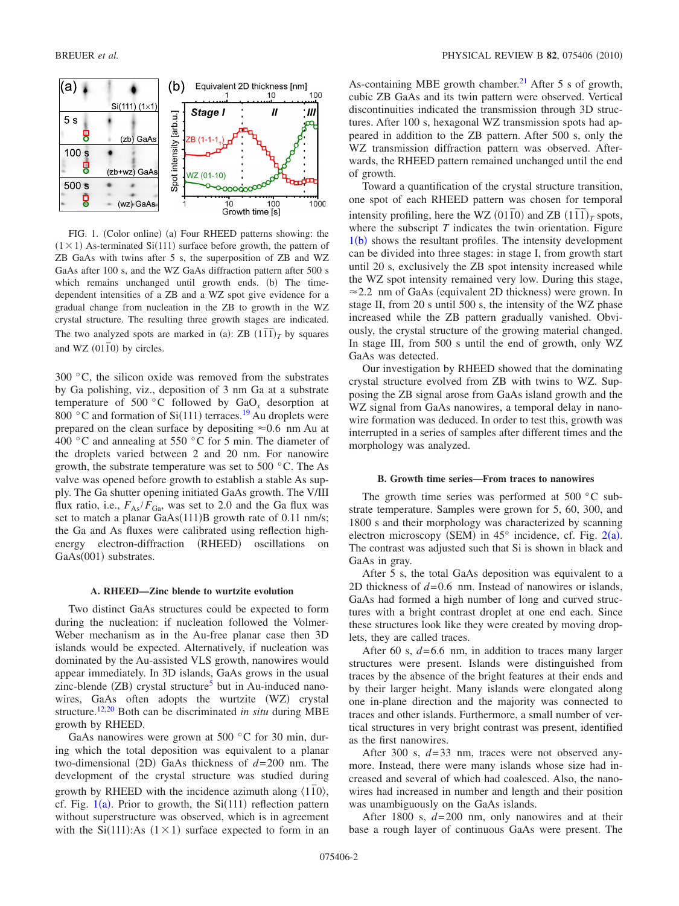<span id="page-1-0"></span>

FIG. 1. (Color online) (a) Four RHEED patterns showing: the  $(1 \times 1)$  As-terminated Si(111) surface before growth, the pattern of ZB GaAs with twins after 5 s, the superposition of ZB and WZ GaAs after 100 s, and the WZ GaAs diffraction pattern after 500 s which remains unchanged until growth ends. (b) The timedependent intensities of a ZB and a WZ spot give evidence for a gradual change from nucleation in the ZB to growth in the WZ crystal structure. The resulting three growth stages are indicated. The two analyzed spots are marked in (a): ZB  $(11\overline{11})_T$  by squares and WZ  $(01\bar{1}0)$  by circles.

300 °C, the silicon oxide was removed from the substrates by Ga polishing, viz., deposition of 3 nm Ga at a substrate temperature of 500 °C followed by  $GaO<sub>x</sub>$  desorption at 800 °C and formation of  $Si(111)$  terraces.<sup>19</sup> Au droplets were prepared on the clean surface by depositing  $\approx 0.6$  nm Au at 400 °C and annealing at 550 °C for 5 min. The diameter of the droplets varied between 2 and 20 nm. For nanowire growth, the substrate temperature was set to 500 °C. The As valve was opened before growth to establish a stable As supply. The Ga shutter opening initiated GaAs growth. The V/III flux ratio, i.e.,  $F_{As}/F_{Ga}$ , was set to 2.0 and the Ga flux was set to match a planar GaAs(111)B growth rate of 0.11 nm/s; the Ga and As fluxes were calibrated using reflection highenergy electron-diffraction (RHEED) oscillations on GaAs(001) substrates.

#### **A. RHEED—Zinc blende to wurtzite evolution**

Two distinct GaAs structures could be expected to form during the nucleation: if nucleation followed the Volmer-Weber mechanism as in the Au-free planar case then 3D islands would be expected. Alternatively, if nucleation was dominated by the Au-assisted VLS growth, nanowires would appear immediately. In 3D islands, GaAs grows in the usual zinc-blende (ZB) crystal structure<sup>5</sup> but in Au-induced nanowires, GaAs often adopts the wurtzite (WZ) crystal structure[.12,](#page-5-10)[20](#page-5-17) Both can be discriminated *in situ* during MBE growth by RHEED.

GaAs nanowires were grown at 500 °C for 30 min, during which the total deposition was equivalent to a planar two-dimensional (2D) GaAs thickness of  $d=200$  nm. The development of the crystal structure was studied during growth by RHEED with the incidence azimuth along  $\langle 110 \rangle$ , cf. Fig.  $1(a)$  $1(a)$ . Prior to growth, the Si $(111)$  reflection pattern without superstructure was observed, which is in agreement with the Si(111): As  $(1 \times 1)$  surface expected to form in an

As-containing MBE growth chamber.<sup>21</sup> After 5 s of growth, cubic ZB GaAs and its twin pattern were observed. Vertical discontinuities indicated the transmission through 3D structures. After 100 s, hexagonal WZ transmission spots had appeared in addition to the ZB pattern. After 500 s, only the WZ transmission diffraction pattern was observed. Afterwards, the RHEED pattern remained unchanged until the end of growth.

Toward a quantification of the crystal structure transition, one spot of each RHEED pattern was chosen for temporal intensity profiling, here the WZ (01<sup>T</sup><sub>0</sub>) and ZB (1<sup>T</sup><sub>1</sub><sup>T</sup>)<sub>*T*</sub> spots, where the subscript *T* indicates the twin orientation. Figure  $1(b)$  $1(b)$  shows the resultant profiles. The intensity development can be divided into three stages: in stage I, from growth start until 20 s, exclusively the ZB spot intensity increased while the WZ spot intensity remained very low. During this stage,  $\approx$  2.2 nm of GaAs (equivalent 2D thickness) were grown. In stage II, from 20 s until 500 s, the intensity of the WZ phase increased while the ZB pattern gradually vanished. Obviously, the crystal structure of the growing material changed. In stage III, from 500 s until the end of growth, only WZ GaAs was detected.

Our investigation by RHEED showed that the dominating crystal structure evolved from ZB with twins to WZ. Supposing the ZB signal arose from GaAs island growth and the WZ signal from GaAs nanowires, a temporal delay in nanowire formation was deduced. In order to test this, growth was interrupted in a series of samples after different times and the morphology was analyzed.

### **B. Growth time series—From traces to nanowires**

The growth time series was performed at 500  $\degree$ C substrate temperature. Samples were grown for 5, 60, 300, and 1800 s and their morphology was characterized by scanning electron microscopy (SEM) in  $45^{\circ}$  incidence, cf. Fig. [2](#page-2-0)(a). The contrast was adjusted such that Si is shown in black and GaAs in gray.

After 5 s, the total GaAs deposition was equivalent to a 2D thickness of *d*= 0.6 nm. Instead of nanowires or islands, GaAs had formed a high number of long and curved structures with a bright contrast droplet at one end each. Since these structures look like they were created by moving droplets, they are called traces.

After 60 s,  $d=6.6$  nm, in addition to traces many larger structures were present. Islands were distinguished from traces by the absence of the bright features at their ends and by their larger height. Many islands were elongated along one in-plane direction and the majority was connected to traces and other islands. Furthermore, a small number of vertical structures in very bright contrast was present, identified as the first nanowires.

After 300 s, *d*= 33 nm, traces were not observed anymore. Instead, there were many islands whose size had increased and several of which had coalesced. Also, the nanowires had increased in number and length and their position was unambiguously on the GaAs islands.

After 1800 s, *d*= 200 nm, only nanowires and at their base a rough layer of continuous GaAs were present. The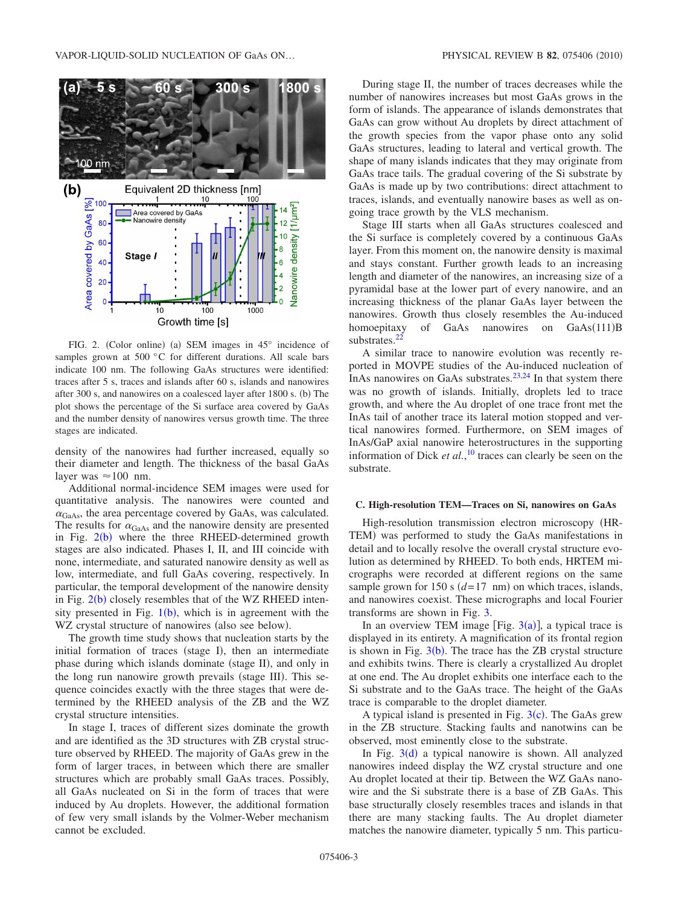<span id="page-2-0"></span>

FIG. 2. (Color online) (a) SEM images in  $45^\circ$  incidence of samples grown at 500 °C for different durations. All scale bars indicate 100 nm. The following GaAs structures were identified: traces after 5 s, traces and islands after 60 s, islands and nanowires after 300 s, and nanowires on a coalesced layer after 1800 s. (b) The plot shows the percentage of the Si surface area covered by GaAs and the number density of nanowires versus growth time. The three stages are indicated.

density of the nanowires had further increased, equally so their diameter and length. The thickness of the basal GaAs layer was  $\approx$  100 nm.

Additional normal-incidence SEM images were used for quantitative analysis. The nanowires were counted and  $\alpha_{\text{GaAs}}$ , the area percentage covered by GaAs, was calculated. The results for  $\alpha_{\text{GaAs}}$  and the nanowire density are presented in Fig.  $2(b)$  $2(b)$  where the three RHEED-determined growth stages are also indicated. Phases I, II, and III coincide with none, intermediate, and saturated nanowire density as well as low, intermediate, and full GaAs covering, respectively. In particular, the temporal development of the nanowire density in Fig.  $2(b)$  $2(b)$  closely resembles that of the WZ RHEED intensity presented in Fig.  $1(b)$  $1(b)$ , which is in agreement with the WZ crystal structure of nanowires (also see below).

The growth time study shows that nucleation starts by the initial formation of traces (stage I), then an intermediate phase during which islands dominate (stage II), and only in the long run nanowire growth prevails (stage III). This sequence coincides exactly with the three stages that were determined by the RHEED analysis of the ZB and the WZ crystal structure intensities.

In stage I, traces of different sizes dominate the growth and are identified as the 3D structures with ZB crystal structure observed by RHEED. The majority of GaAs grew in the form of larger traces, in between which there are smaller structures which are probably small GaAs traces. Possibly, all GaAs nucleated on Si in the form of traces that were induced by Au droplets. However, the additional formation of few very small islands by the Volmer-Weber mechanism cannot be excluded.

During stage II, the number of traces decreases while the number of nanowires increases but most GaAs grows in the form of islands. The appearance of islands demonstrates that GaAs can grow without Au droplets by direct attachment of the growth species from the vapor phase onto any solid GaAs structures, leading to lateral and vertical growth. The shape of many islands indicates that they may originate from GaAs trace tails. The gradual covering of the Si substrate by GaAs is made up by two contributions: direct attachment to traces, islands, and eventually nanowire bases as well as ongoing trace growth by the VLS mechanism.

Stage III starts when all GaAs structures coalesced and the Si surface is completely covered by a continuous GaAs layer. From this moment on, the nanowire density is maximal and stays constant. Further growth leads to an increasing length and diameter of the nanowires, an increasing size of a pyramidal base at the lower part of every nanowire, and an increasing thickness of the planar GaAs layer between the nanowires. Growth thus closely resembles the Au-induced homoepitaxy of GaAs nanowires on GaAs(111)B substrates.<sup>22</sup>

A similar trace to nanowire evolution was recently reported in MOVPE studies of the Au-induced nucleation of InAs nanowires on GaAs substrates.<sup>23,[24](#page-6-3)</sup> In that system there was no growth of islands. Initially, droplets led to trace growth, and where the Au droplet of one trace front met the InAs tail of another trace its lateral motion stopped and vertical nanowires formed. Furthermore, on SEM images of InAs/GaP axial nanowire heterostructures in the supporting information of Dick *et al.*, [10](#page-5-18) traces can clearly be seen on the substrate.

#### **C. High-resolution TEM—Traces on Si, nanowires on GaAs**

High-resolution transmission electron microscopy HR-TEM) was performed to study the GaAs manifestations in detail and to locally resolve the overall crystal structure evolution as determined by RHEED. To both ends, HRTEM micrographs were recorded at different regions on the same sample grown for  $150 s (d=17 \text{ nm})$  on which traces, islands, and nanowires coexist. These micrographs and local Fourier transforms are shown in Fig. [3.](#page-3-0)

In an overview TEM image [Fig.  $3(a)$  $3(a)$ ], a typical trace is displayed in its entirety. A magnification of its frontal region is shown in Fig.  $3(b)$  $3(b)$ . The trace has the ZB crystal structure and exhibits twins. There is clearly a crystallized Au droplet at one end. The Au droplet exhibits one interface each to the Si substrate and to the GaAs trace. The height of the GaAs trace is comparable to the droplet diameter.

A typical island is presented in Fig.  $3(c)$  $3(c)$ . The GaAs grew in the ZB structure. Stacking faults and nanotwins can be observed, most eminently close to the substrate.

In Fig.  $3(d)$  $3(d)$  a typical nanowire is shown. All analyzed nanowires indeed display the WZ crystal structure and one Au droplet located at their tip. Between the WZ GaAs nanowire and the Si substrate there is a base of ZB GaAs. This base structurally closely resembles traces and islands in that there are many stacking faults. The Au droplet diameter matches the nanowire diameter, typically 5 nm. This particu-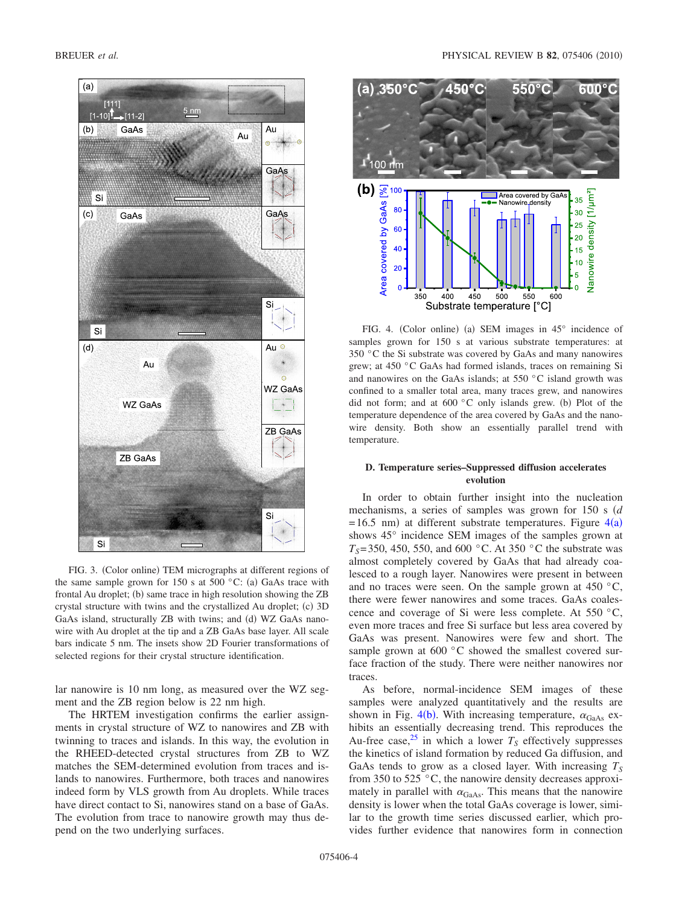<span id="page-3-0"></span>

FIG. 3. (Color online) TEM micrographs at different regions of the same sample grown for 150 s at 500  $^{\circ}$ C: (a) GaAs trace with frontal Au droplet; (b) same trace in high resolution showing the ZB crystal structure with twins and the crystallized Au droplet; (c) 3D GaAs island, structurally ZB with twins; and (d) WZ GaAs nanowire with Au droplet at the tip and a ZB GaAs base layer. All scale bars indicate 5 nm. The insets show 2D Fourier transformations of selected regions for their crystal structure identification.

lar nanowire is 10 nm long, as measured over the WZ segment and the ZB region below is 22 nm high.

The HRTEM investigation confirms the earlier assignments in crystal structure of WZ to nanowires and ZB with twinning to traces and islands. In this way, the evolution in the RHEED-detected crystal structures from ZB to WZ matches the SEM-determined evolution from traces and islands to nanowires. Furthermore, both traces and nanowires indeed form by VLS growth from Au droplets. While traces have direct contact to Si, nanowires stand on a base of GaAs. The evolution from trace to nanowire growth may thus depend on the two underlying surfaces.

<span id="page-3-1"></span>

FIG. 4. (Color online) (a) SEM images in  $45^\circ$  incidence of samples grown for 150 s at various substrate temperatures: at 350 °C the Si substrate was covered by GaAs and many nanowires grew; at 450 °C GaAs had formed islands, traces on remaining Si and nanowires on the GaAs islands; at 550 °C island growth was confined to a smaller total area, many traces grew, and nanowires did not form; and at  $600 °C$  only islands grew. (b) Plot of the temperature dependence of the area covered by GaAs and the nanowire density. Both show an essentially parallel trend with temperature.

# **D. Temperature series–Suppressed diffusion accelerates evolution**

In order to obtain further insight into the nucleation mechanisms, a series of samples was grown for 150 s *d*  $= 16.5$  nm) at different substrate temperatures. Figure  $4(a)$  $4(a)$ shows 45° incidence SEM images of the samples grown at  $T_s = 350, 450, 550,$  and  $600 \degree$ C. At 350  $\degree$ C the substrate was almost completely covered by GaAs that had already coalesced to a rough layer. Nanowires were present in between and no traces were seen. On the sample grown at  $450^{\circ}$ C, there were fewer nanowires and some traces. GaAs coalescence and coverage of Si were less complete. At 550 °C, even more traces and free Si surface but less area covered by GaAs was present. Nanowires were few and short. The sample grown at 600 °C showed the smallest covered surface fraction of the study. There were neither nanowires nor traces.

As before, normal-incidence SEM images of these samples were analyzed quantitatively and the results are shown in Fig.  $4(b)$  $4(b)$ . With increasing temperature,  $\alpha_{\text{GaAs}}$  exhibits an essentially decreasing trend. This reproduces the Au-free case,<sup>25</sup> in which a lower  $T<sub>S</sub>$  effectively suppresses the kinetics of island formation by reduced Ga diffusion, and GaAs tends to grow as a closed layer. With increasing  $T<sub>S</sub>$ from 350 to 525 °C, the nanowire density decreases approximately in parallel with  $\alpha_{\text{GaAs}}$ . This means that the nanowire density is lower when the total GaAs coverage is lower, similar to the growth time series discussed earlier, which provides further evidence that nanowires form in connection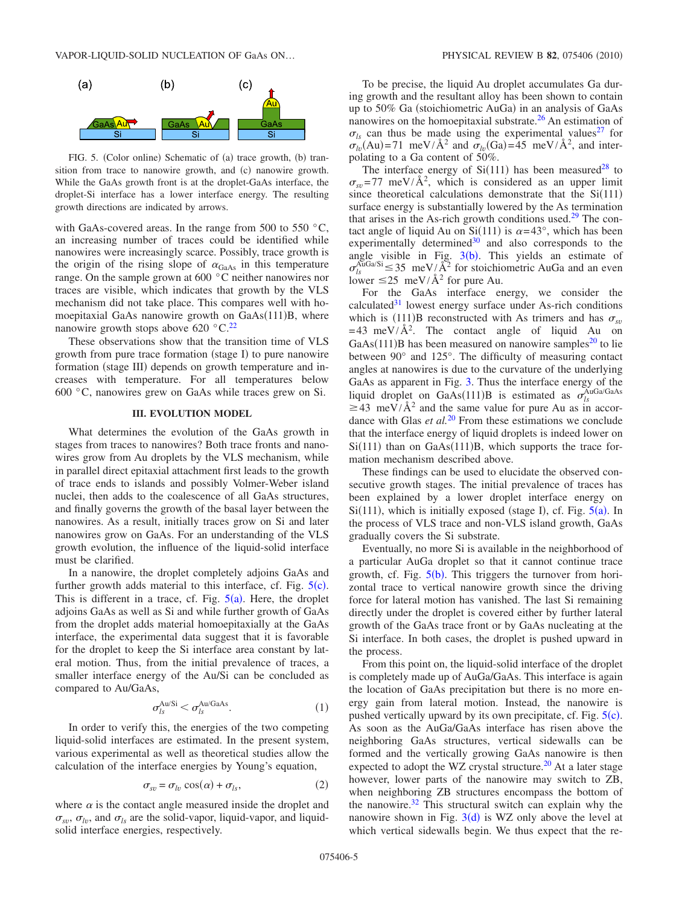<span id="page-4-0"></span>

FIG. 5. (Color online) Schematic of (a) trace growth, (b) transition from trace to nanowire growth, and (c) nanowire growth. While the GaAs growth front is at the droplet-GaAs interface, the droplet-Si interface has a lower interface energy. The resulting growth directions are indicated by arrows.

with GaAs-covered areas. In the range from 500 to 550 °C, an increasing number of traces could be identified while nanowires were increasingly scarce. Possibly, trace growth is the origin of the rising slope of  $\alpha_{\text{GaAs}}$  in this temperature range. On the sample grown at 600 °C neither nanowires nor traces are visible, which indicates that growth by the VLS mechanism did not take place. This compares well with homoepitaxial GaAs nanowire growth on GaAs(111)B, where nanowire growth stops above 620  $^{\circ}$ C.<sup>22</sup>

These observations show that the transition time of VLS growth from pure trace formation (stage I) to pure nanowire formation (stage III) depends on growth temperature and increases with temperature. For all temperatures below 600 °C, nanowires grew on GaAs while traces grew on Si.

#### **III. EVOLUTION MODEL**

What determines the evolution of the GaAs growth in stages from traces to nanowires? Both trace fronts and nanowires grow from Au droplets by the VLS mechanism, while in parallel direct epitaxial attachment first leads to the growth of trace ends to islands and possibly Volmer-Weber island nuclei, then adds to the coalescence of all GaAs structures, and finally governs the growth of the basal layer between the nanowires. As a result, initially traces grow on Si and later nanowires grow on GaAs. For an understanding of the VLS growth evolution, the influence of the liquid-solid interface must be clarified.

In a nanowire, the droplet completely adjoins GaAs and further growth adds material to this interface, cf. Fig.  $5(c)$  $5(c)$ . This is different in a trace, cf. Fig.  $5(a)$  $5(a)$ . Here, the droplet adjoins GaAs as well as Si and while further growth of GaAs from the droplet adds material homoepitaxially at the GaAs interface, the experimental data suggest that it is favorable for the droplet to keep the Si interface area constant by lateral motion. Thus, from the initial prevalence of traces, a smaller interface energy of the Au/Si can be concluded as compared to Au/GaAs,

$$
\sigma_{ls}^{\text{Au/Si}} < \sigma_{ls}^{\text{Au/GaAs}}.\tag{1}
$$

In order to verify this, the energies of the two competing liquid-solid interfaces are estimated. In the present system, various experimental as well as theoretical studies allow the calculation of the interface energies by Young's equation,

$$
\sigma_{sv} = \sigma_{lv} \cos(\alpha) + \sigma_{ls}, \qquad (2)
$$

where  $\alpha$  is the contact angle measured inside the droplet and  $\sigma_{sv}$ ,  $\sigma_{lv}$ , and  $\sigma_{ls}$  are the solid-vapor, liquid-vapor, and liquidsolid interface energies, respectively.

To be precise, the liquid Au droplet accumulates Ga during growth and the resultant alloy has been shown to contain up to 50% Ga (stoichiometric AuGa) in an analysis of GaAs nanowires on the homoepitaxial substrate[.26](#page-6-5) An estimation of  $\sigma_{1s}$  can thus be made using the experimental values<sup>27</sup> for  $\sigma_{lv}(\text{Au}) = 71 \text{ meV}/\text{Å}^2$  and  $\sigma_{lv}(\text{Ga}) = 45 \text{ meV}/\text{Å}^2$ , and interpolating to a Ga content of 50%.

The interface energy of  $Si(111)$  has been measured<sup>28</sup> to  $\sigma_{\rm sv}$ =77 meV/Å<sup>2</sup>, which is considered as an upper limit since theoretical calculations demonstrate that the  $Si(111)$ surface energy is substantially lowered by the As termination that arises in the As-rich growth conditions used. $29$  The contact angle of liquid Au on Si(111) is  $\alpha = 43^{\circ}$ , which has been experimentally determined $30$  and also corresponds to the angle visible in Fig.  $3(b)$  $3(b)$ . This yields an estimate of  $\sigma_{ls}^{\text{AuGa/Si}} \leq 35$  meV/ $\AA$ <sup>2</sup> for stoichiometric AuGa and an even lower  $\leq$ 25 meV/Å<sup>2</sup> for pure Au.

For the GaAs interface energy, we consider the calculated $31$  lowest energy surface under As-rich conditions which is  $(111)$ B reconstructed with As trimers and has  $\sigma_{sv}$  $= 43$  meV/ $\AA$ <sup>2</sup>. The contact angle of liquid Au on  $GaAs(111)B$  has been measured on nanowire samples<sup>20</sup> to lie between 90° and 125°. The difficulty of measuring contact angles at nanowires is due to the curvature of the underlying GaAs as apparent in Fig. [3.](#page-3-0) Thus the interface energy of the liquid droplet on GaAs(111)B is estimated as  $\sigma_{ls}^{\text{AuGa/GaAs}}$  $\geq$ 43 meV/ $\AA$ <sup>2</sup> and the same value for pure Au as in accordance with Glas *et al.*[20](#page-5-17) From these estimations we conclude that the interface energy of liquid droplets is indeed lower on  $Si(111)$  than on  $GaAs(111)B$ , which supports the trace formation mechanism described above.

These findings can be used to elucidate the observed consecutive growth stages. The initial prevalence of traces has been explained by a lower droplet interface energy on  $Si(111)$ , which is initially exposed (stage I), cf. Fig.  $5(a)$  $5(a)$ . In the process of VLS trace and non-VLS island growth, GaAs gradually covers the Si substrate.

Eventually, no more Si is available in the neighborhood of a particular AuGa droplet so that it cannot continue trace growth, cf. Fig.  $5(b)$  $5(b)$ . This triggers the turnover from horizontal trace to vertical nanowire growth since the driving force for lateral motion has vanished. The last Si remaining directly under the droplet is covered either by further lateral growth of the GaAs trace front or by GaAs nucleating at the Si interface. In both cases, the droplet is pushed upward in the process.

From this point on, the liquid-solid interface of the droplet is completely made up of AuGa/GaAs. This interface is again the location of GaAs precipitation but there is no more energy gain from lateral motion. Instead, the nanowire is pushed vertically upward by its own precipitate, cf. Fig.  $5(c)$  $5(c)$ . As soon as the AuGa/GaAs interface has risen above the neighboring GaAs structures, vertical sidewalls can be formed and the vertically growing GaAs nanowire is then expected to adopt the WZ crystal structure.<sup>20</sup> At a later stage however, lower parts of the nanowire may switch to ZB, when neighboring ZB structures encompass the bottom of the nanowire. $32$  This structural switch can explain why the nanowire shown in Fig.  $3(d)$  $3(d)$  is WZ only above the level at which vertical sidewalls begin. We thus expect that the re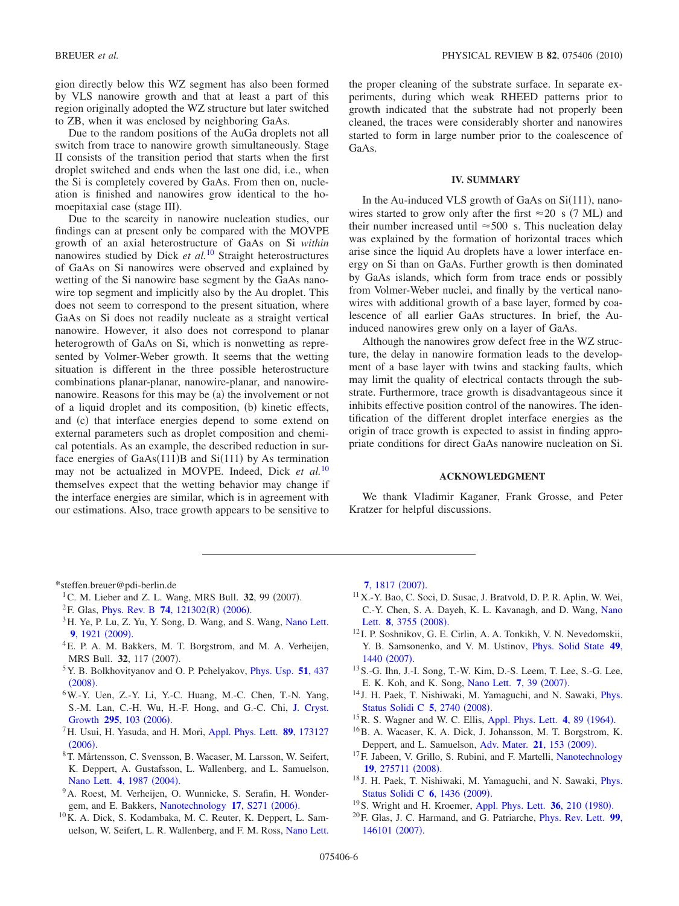gion directly below this WZ segment has also been formed by VLS nanowire growth and that at least a part of this region originally adopted the WZ structure but later switched to ZB, when it was enclosed by neighboring GaAs.

Due to the random positions of the AuGa droplets not all switch from trace to nanowire growth simultaneously. Stage II consists of the transition period that starts when the first droplet switched and ends when the last one did, i.e., when the Si is completely covered by GaAs. From then on, nucleation is finished and nanowires grow identical to the homoepitaxial case (stage III).

Due to the scarcity in nanowire nucleation studies, our findings can at present only be compared with the MOVPE growth of an axial heterostructure of GaAs on Si *within* nanowires studied by Dick *et al.*[10](#page-5-18) Straight heterostructures of GaAs on Si nanowires were observed and explained by wetting of the Si nanowire base segment by the GaAs nanowire top segment and implicitly also by the Au droplet. This does not seem to correspond to the present situation, where GaAs on Si does not readily nucleate as a straight vertical nanowire. However, it also does not correspond to planar heterogrowth of GaAs on Si, which is nonwetting as represented by Volmer-Weber growth. It seems that the wetting situation is different in the three possible heterostructure combinations planar-planar, nanowire-planar, and nanowirenanowire. Reasons for this may be (a) the involvement or not of a liquid droplet and its composition, (b) kinetic effects, and (c) that interface energies depend to some extend on external parameters such as droplet composition and chemical potentials. As an example, the described reduction in surface energies of  $GaAs(111)B$  and  $Si(111)$  by As termination may not be actualized in MOVPE. Indeed, Dick *et al.*[10](#page-5-18) themselves expect that the wetting behavior may change if the interface energies are similar, which is in agreement with our estimations. Also, trace growth appears to be sensitive to the proper cleaning of the substrate surface. In separate experiments, during which weak RHEED patterns prior to growth indicated that the substrate had not properly been cleaned, the traces were considerably shorter and nanowires started to form in large number prior to the coalescence of GaAs.

### **IV. SUMMARY**

In the Au-induced VLS growth of GaAs on  $Si(111)$ , nanowires started to grow only after the first  $\approx$  20 s (7 ML) and their number increased until  $\approx$  500 s. This nucleation delay was explained by the formation of horizontal traces which arise since the liquid Au droplets have a lower interface energy on Si than on GaAs. Further growth is then dominated by GaAs islands, which form from trace ends or possibly from Volmer-Weber nuclei, and finally by the vertical nanowires with additional growth of a base layer, formed by coalescence of all earlier GaAs structures. In brief, the Auinduced nanowires grew only on a layer of GaAs.

Although the nanowires grow defect free in the WZ structure, the delay in nanowire formation leads to the development of a base layer with twins and stacking faults, which may limit the quality of electrical contacts through the substrate. Furthermore, trace growth is disadvantageous since it inhibits effective position control of the nanowires. The identification of the different droplet interface energies as the origin of trace growth is expected to assist in finding appropriate conditions for direct GaAs nanowire nucleation on Si.

### **ACKNOWLEDGMENT**

We thank Vladimir Kaganer, Frank Grosse, and Peter Kratzer for helpful discussions.

<span id="page-5-0"></span>\*steffen.breuer@pdi-berlin.de

- <span id="page-5-1"></span><sup>1</sup> C. M. Lieber and Z. L. Wang, MRS Bull. **32**, 99 (2007).
- <span id="page-5-2"></span><sup>2</sup>F. Glas, *[Phys. Rev. B](http://dx.doi.org/10.1103/PhysRevB.74.121302)* **74**,  $121302(R)$  (2006).
- <span id="page-5-3"></span><sup>3</sup>H. Ye, P. Lu, Z. Yu, Y. Song, D. Wang, and S. Wang, [Nano Lett.](http://dx.doi.org/10.1021/nl900055x) **9**[, 1921](http://dx.doi.org/10.1021/nl900055x) (2009).
- <span id="page-5-4"></span>4E. P. A. M. Bakkers, M. T. Borgstrom, and M. A. Verheijen, MRS Bull. 32, 117 (2007).
- <span id="page-5-5"></span>5Y. B. Bolkhovityanov and O. P. Pchelyakov, [Phys. Usp.](http://dx.doi.org/10.1070/PU2008v051n05ABEH006529) **51**, 437  $(2008).$  $(2008).$  $(2008).$
- <span id="page-5-6"></span> $6$ W.-Y. Uen, Z.-Y. Li, Y.-C. Huang, M.-C. Chen, T.-N. Yang, S.-M. Lan, C.-H. Wu, H.-F. Hong, and G.-C. Chi, [J. Cryst.](http://dx.doi.org/10.1016/j.jcrysgro.2006.07.026) [Growth](http://dx.doi.org/10.1016/j.jcrysgro.2006.07.026) 295, 103 (2006).
- <span id="page-5-7"></span>7H. Usui, H. Yasuda, and H. Mori, [Appl. Phys. Lett.](http://dx.doi.org/10.1063/1.2363147) **89**, 173127  $(2006).$  $(2006).$  $(2006).$
- <span id="page-5-8"></span>8T. Mårtensson, C. Svensson, B. Wacaser, M. Larsson, W. Seifert, K. Deppert, A. Gustafsson, L. Wallenberg, and L. Samuelson, [Nano Lett.](http://dx.doi.org/10.1021/nl0487267) 4, 1987 (2004).
- <sup>9</sup>A. Roest, M. Verheijen, O. Wunnicke, S. Serafin, H. Wonder-gem, and E. Bakkers, [Nanotechnology](http://dx.doi.org/10.1088/0957-4484/17/11/S07) 17, S271 (2006).
- <span id="page-5-18"></span>10K. A. Dick, S. Kodambaka, M. C. Reuter, K. Deppert, L. Samuelson, W. Seifert, L. R. Wallenberg, and F. M. Ross, [Nano Lett.](http://dx.doi.org/10.1021/nl0705900)

7[, 1817](http://dx.doi.org/10.1021/nl0705900) (2007).

- <span id="page-5-9"></span>11X.-Y. Bao, C. Soci, D. Susac, J. Bratvold, D. P. R. Aplin, W. Wei, C.-Y. Chen, S. A. Dayeh, K. L. Kavanagh, and D. Wang, [Nano](http://dx.doi.org/10.1021/nl802062y) Lett. 8[, 3755](http://dx.doi.org/10.1021/nl802062y) (2008).
- <span id="page-5-10"></span><sup>12</sup> I. P. Soshnikov, G. E. Cirlin, A. A. Tonkikh, V. N. Nevedomskii, Y. B. Samsonenko, and V. M. Ustinov, [Phys. Solid State](http://dx.doi.org/10.1134/S1063783407080069) **49**, [1440](http://dx.doi.org/10.1134/S1063783407080069) (2007).
- 13S.-G. Ihn, J.-I. Song, T.-W. Kim, D.-S. Leem, T. Lee, S.-G. Lee, E. K. Koh, and K. Song, [Nano Lett.](http://dx.doi.org/10.1021/nl0618795) 7, 39 (2007).
- <span id="page-5-11"></span><sup>14</sup> J. H. Paek, T. Nishiwaki, M. Yamaguchi, and N. Sawaki, *[Phys.](http://dx.doi.org/10.1002/pssc.200779248)* [Status Solidi C](http://dx.doi.org/10.1002/pssc.200779248) 5, 2740 (2008).
- <span id="page-5-12"></span><sup>15</sup> R. S. Wagner and W. C. Ellis, [Appl. Phys. Lett.](http://dx.doi.org/10.1063/1.1753975) **4**, 89 (1964).
- <span id="page-5-13"></span>16B. A. Wacaser, K. A. Dick, J. Johansson, M. T. Borgstrom, K. Deppert, and L. Samuelson, [Adv. Mater.](http://dx.doi.org/10.1002/adma.200800440) 21, 153 (2009).
- <span id="page-5-14"></span><sup>17</sup>F. Jabeen, V. Grillo, S. Rubini, and F. Martelli, [Nanotechnology](http://dx.doi.org/10.1088/0957-4484/19/27/275711) **19**[, 275711](http://dx.doi.org/10.1088/0957-4484/19/27/275711) (2008).
- <span id="page-5-15"></span><sup>18</sup> J. H. Paek, T. Nishiwaki, M. Yamaguchi, and N. Sawaki, [Phys.](http://dx.doi.org/10.1002/pssc.200881520) [Status Solidi C](http://dx.doi.org/10.1002/pssc.200881520) 6, 1436 (2009).
- <span id="page-5-16"></span><sup>19</sup> S. Wright and H. Kroemer, [Appl. Phys. Lett.](http://dx.doi.org/10.1063/1.91428) **36**, 210 (1980).
- <span id="page-5-17"></span>20F. Glas, J. C. Harmand, and G. Patriarche, [Phys. Rev. Lett.](http://dx.doi.org/10.1103/PhysRevLett.99.146101) **99**, [146101](http://dx.doi.org/10.1103/PhysRevLett.99.146101) (2007).